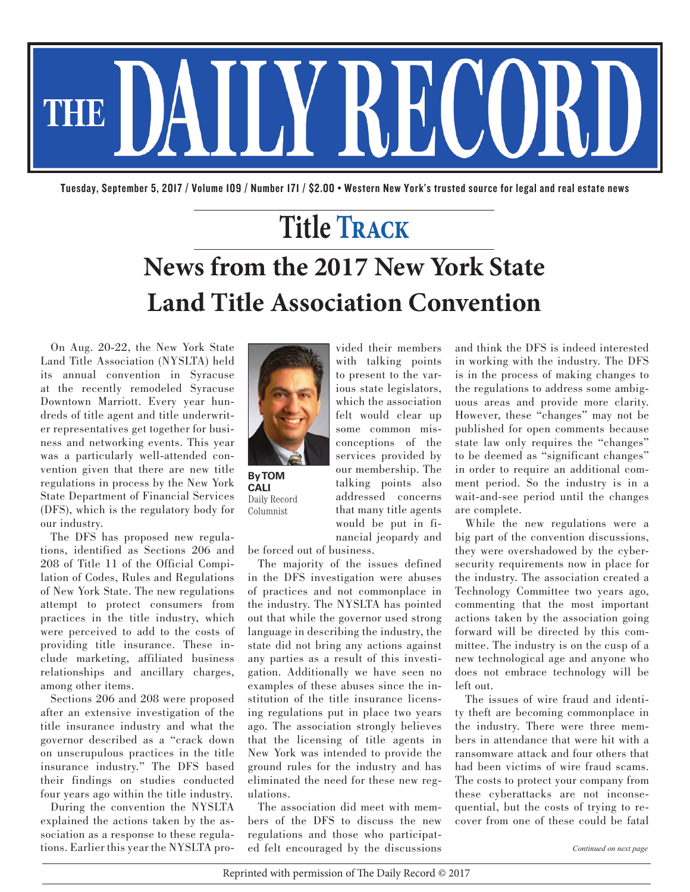

Tuesday, September 5, 2017 / Volume 109 / Number 171 / \$2.00 • Western New York's trusted source for legal and real estate news

## **Title Track News from the 2017 New York State Land Title Association Convention**

vided their members with talking points to present to the various state legislators, which the association felt would clear up some common misconceptions of the services provided by our membership. The talking points also addressed concerns that many title agents would be put in fi-

On Aug. 20-22, the New York State Land Title Association (NYSLTA) held its annual convention in Syracuse at the recently remodeled Syracuse Downtown Marriott. Every year hundreds of title agent and title underwriter representatives get together for business and networking events. This year was a particularly well-attended convention given that there are new title regulations in process by the New York State Department of Financial Services (DFS), which is the regulatory body for our industry.

The DFS has proposed new regulations, identified as Sections 206 and 208 of Title 11 of the Official Compilation of Codes, Rules and Regulations of New York State. The new regulations attempt to protect consumers from practices in the title industry, which were perceived to add to the costs of providing title insurance. These include marketing, affiliated business relationships and ancillary charges, among other items.

Sections 206 and 208 were proposed after an extensive investigation of the title insurance industry and what the governor described as a "crack down on unscrupulous practices in the title insurance industry." The DFS based their findings on studies conducted four years ago within the title industry.

During the convention the NYSLTA explained the actions taken by the association as a response to these regulations. Earlier this year the NYSLTA pro-



**By TOM CALI** Daily Record Columnist

nancial jeopardy and be forced out of business.

The majority of the issues defined in the DFS investigation were abuses of practices and not commonplace in the industry. The NYSLTA has pointed out that while the governor used strong language in describing the industry, the state did not bring any actions against any parties as a result of this investigation. Additionally we have seen no examples of these abuses since the institution of the title insurance licensing regulations put in place two years ago. The association strongly believes that the licensing of title agents in New York was intended to provide the ground rules for the industry and has eliminated the need for these new regulations.

The association did meet with members of the DFS to discuss the new regulations and those who participated felt encouraged by the discussions

and think the DFS is indeed interested in working with the industry. The DFS is in the process of making changes to the regulations to address some ambiguous areas and provide more clarity. However, these "changes" may not be published for open comments because state law only requires the "changes" to be deemed as "significant changes" in order to require an additional comment period. So the industry is in a wait-and-see period until the changes are complete.

While the new regulations were a big part of the convention discussions, they were overshadowed by the cybersecurity requirements now in place for the industry. The association created a Technology Committee two years ago, commenting that the most important actions taken by the association going forward will be directed by this committee. The industry is on the cusp of a new technological age and anyone who does not embrace technology will be left out.

The issues of wire fraud and identity theft are becoming commonplace in the industry. There were three members in attendance that were hit with a ransomware attack and four others that had been victims of wire fraud scams. The costs to protect your company from these cyberattacks are not inconsequential, but the costs of trying to recover from one of these could be fatal